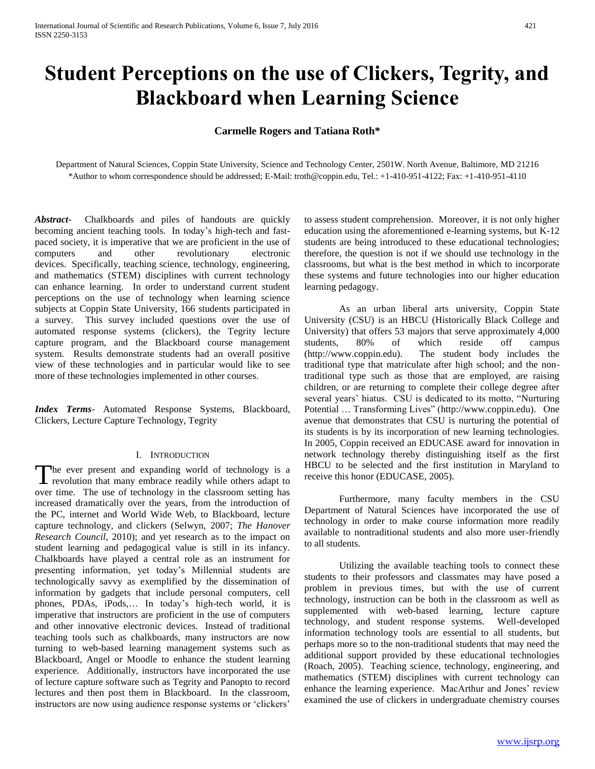# **Student Perceptions on the use of Clickers, Tegrity, and Blackboard when Learning Science**

# **Carmelle Rogers and Tatiana Roth\***

Department of Natural Sciences, Coppin State University, Science and Technology Center, 2501W. North Avenue, Baltimore, MD 21216 \*Author to whom correspondence should be addressed; E-Mail: troth@coppin.edu, Tel.: +1-410-951-4122; Fax: +1-410-951-4110

*Abstract***-** Chalkboards and piles of handouts are quickly becoming ancient teaching tools. In today's high-tech and fastpaced society, it is imperative that we are proficient in the use of computers and other revolutionary electronic devices. Specifically, teaching science, technology, engineering, and mathematics (STEM) disciplines with current technology can enhance learning. In order to understand current student perceptions on the use of technology when learning science subjects at Coppin State University, 166 students participated in a survey. This survey included questions over the use of automated response systems (clickers), the Tegrity lecture capture program, and the Blackboard course management system. Results demonstrate students had an overall positive view of these technologies and in particular would like to see more of these technologies implemented in other courses.

*Index Terms*- Automated Response Systems, Blackboard, Clickers, Lecture Capture Technology, Tegrity

## I. INTRODUCTION

The ever present and expanding world of technology is a The ever present and expanding world of technology is a revolution that many embrace readily while others adapt to over time. The use of technology in the classroom setting has increased dramatically over the years, from the introduction of the PC, internet and World Wide Web, to Blackboard, lecture capture technology, and clickers (Selwyn, 2007; *The Hanover Research Council,* 2010); and yet research as to the impact on student learning and pedagogical value is still in its infancy. Chalkboards have played a central role as an instrument for presenting information, yet today's Millennial students are technologically savvy as exemplified by the dissemination of information by gadgets that include personal computers, cell phones, PDAs, iPods,… In today's high-tech world, it is imperative that instructors are proficient in the use of computers and other innovative electronic devices. Instead of traditional teaching tools such as chalkboards, many instructors are now turning to web-based learning management systems such as Blackboard, Angel or Moodle to enhance the student learning experience. Additionally, instructors have incorporated the use of lecture capture software such as Tegrity and Panopto to record lectures and then post them in Blackboard. In the classroom, instructors are now using audience response systems or 'clickers'

to assess student comprehension. Moreover, it is not only higher education using the aforementioned e-learning systems, but K-12 students are being introduced to these educational technologies; therefore, the question is not if we should use technology in the classrooms, but what is the best method in which to incorporate these systems and future technologies into our higher education learning pedagogy.

As an urban liberal arts university, Coppin State University (CSU) is an HBCU (Historically Black College and University) that offers 53 majors that serve approximately 4,000 students, 80% of which reside off campus (http://www.coppin.edu). The student body includes the traditional type that matriculate after high school; and the nontraditional type such as those that are employed, are raising children, or are returning to complete their college degree after several years' hiatus. CSU is dedicated to its motto, "Nurturing Potential … Transforming Lives" (http://www.coppin.edu). One avenue that demonstrates that CSU is nurturing the potential of its students is by its incorporation of new learning technologies. In 2005, Coppin received an EDUCASE award for innovation in network technology thereby distinguishing itself as the first HBCU to be selected and the first institution in Maryland to receive this honor (EDUCASE, 2005).

Furthermore, many faculty members in the CSU Department of Natural Sciences have incorporated the use of technology in order to make course information more readily available to nontraditional students and also more user-friendly to all students.

Utilizing the available teaching tools to connect these students to their professors and classmates may have posed a problem in previous times, but with the use of current technology, instruction can be both in the classroom as well as supplemented with web-based learning, lecture capture technology, and student response systems. Well-developed information technology tools are essential to all students, but perhaps more so to the non-traditional students that may need the additional support provided by these educational technologies (Roach, 2005). Teaching science, technology, engineering, and mathematics (STEM) disciplines with current technology can enhance the learning experience. MacArthur and Jones' review examined the use of clickers in undergraduate chemistry courses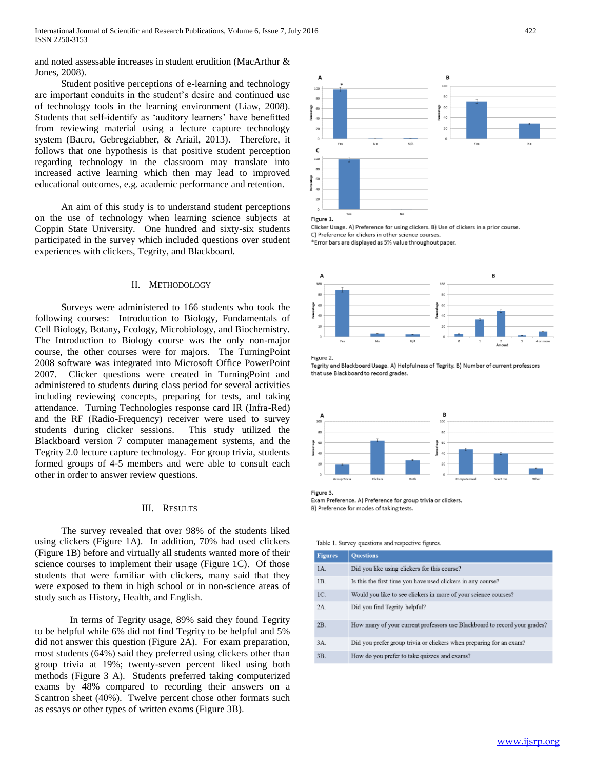and noted assessable increases in student erudition (MacArthur & Jones, 2008).

Student positive perceptions of e-learning and technology are important conduits in the student's desire and continued use of technology tools in the learning environment (Liaw, 2008). Students that self-identify as 'auditory learners' have benefitted from reviewing material using a lecture capture technology system (Bacro, Gebregziabher, & Ariail, 2013). Therefore, it follows that one hypothesis is that positive student perception regarding technology in the classroom may translate into increased active learning which then may lead to improved educational outcomes, e.g. academic performance and retention.

An aim of this study is to understand student perceptions on the use of technology when learning science subjects at Coppin State University. One hundred and sixty-six students participated in the survey which included questions over student experiences with clickers, Tegrity, and Blackboard.

## II. METHODOLOGY

Surveys were administered to 166 students who took the following courses: Introduction to Biology, Fundamentals of Cell Biology, Botany, Ecology, Microbiology, and Biochemistry. The Introduction to Biology course was the only non-major course, the other courses were for majors. The TurningPoint 2008 software was integrated into Microsoft Office PowerPoint 2007. Clicker questions were created in TurningPoint and administered to students during class period for several activities including reviewing concepts, preparing for tests, and taking attendance. Turning Technologies response card IR (Infra-Red) and the RF (Radio-Frequency) receiver were used to survey students during clicker sessions. This study utilized the Blackboard version 7 computer management systems, and the Tegrity 2.0 lecture capture technology. For group trivia, students formed groups of 4-5 members and were able to consult each other in order to answer review questions.

# III. RESULTS

The survey revealed that over 98% of the students liked using clickers (Figure 1A). In addition, 70% had used clickers (Figure 1B) before and virtually all students wanted more of their science courses to implement their usage (Figure 1C). Of those students that were familiar with clickers, many said that they were exposed to them in high school or in non-science areas of study such as History, Health, and English.

In terms of Tegrity usage, 89% said they found Tegrity to be helpful while 6% did not find Tegrity to be helpful and 5% did not answer this question (Figure 2A). For exam preparation, most students (64%) said they preferred using clickers other than group trivia at 19%; twenty-seven percent liked using both methods (Figure 3 A). Students preferred taking computerized exams by 48% compared to recording their answers on a Scantron sheet (40%). Twelve percent chose other formats such as essays or other types of written exams (Figure 3B).



Clicker Usage, A) Preference for using clickers, B) Use of clickers in a prior course. C) Preference for clickers in other science courses \*Error bars are displayed as 5% value throughout paper.



Figure 2. Tegrity and Blackboard Usage. A) Helpfulness of Tegrity. B) Number of current professors that use Blackboard to record grades.



Figure 3. Exam Preference. A) Preference for group trivia or clickers.

B) Preference for modes of taking tests.

Table 1. Survey questions and respective figures.

| <b>Figures</b> | <b>Ouestions</b>                                                          |
|----------------|---------------------------------------------------------------------------|
| IA.            | Did you like using clickers for this course?                              |
| IB.            | Is this the first time you have used clickers in any course?              |
| 1C.            | Would you like to see clickers in more of your science courses?           |
| 2A.            | Did you find Tegrity helpful?                                             |
| 2B.            | How many of your current professors use Blackboard to record your grades? |
| 3A.            | Did you prefer group trivia or clickers when preparing for an exam?       |
| 3B.            | How do you prefer to take quizzes and exams?                              |